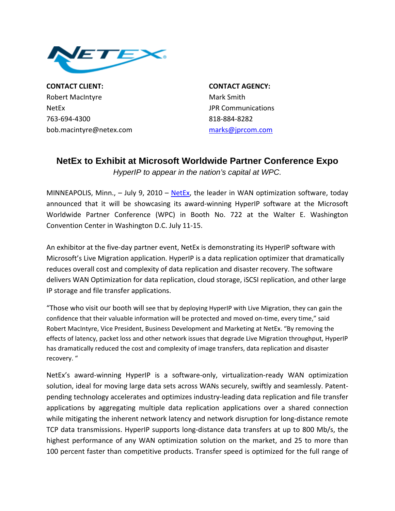

**CONTACT CLIENT: CONTACT AGENCY:** Robert MacIntyre **Mark Smith** NetEx **Internal Communications SECONDITELY** SECOND UPR Communications 763‐694‐4300 818‐884‐8282 bob.macintyre@netex.com [marks@jprcom.com](mailto:marks@jprcom.com)

## **NetEx to Exhibit at Microsoft Worldwide Partner Conference Expo**

*HyperIP to appear in the nation's capital at WPC.* 

MINNEAPOLIS, Minn.,  $-$  July 9, 2010  $-$  [NetEx](http://www.netex.com/), the leader in WAN optimization software, today announced that it will be showcasing its award‐winning HyperIP software at the Microsoft Worldwide Partner Conference (WPC) in Booth No. 722 at the Walter E. Washington Convention Center in Washington D.C. July 11‐15.

An exhibitor at the five-day partner event, NetEx is demonstrating its HyperIP software with Microsoft's Live Migration application. HyperIP is a data replication optimizer that dramatically reduces overall cost and complexity of data replication and disaster recovery. The software delivers WAN Optimization for data replication, cloud storage, iSCSI replication, and other large IP storage and file transfer applications.

"Those who visit our booth will see that by deploying HyperIP with Live Migration, they can gain the confidence that their valuable information will be protected and moved on-time, every time," said Robert MacIntyre, Vice President, Business Development and Marketing at NetEx. "By removing the effects of latency, packet loss and other network issues that degrade Live Migration throughput, HyperIP has dramatically reduced the cost and complexity of image transfers, data replication and disaster recovery. "

NetEx's award‐winning HyperIP is a software‐only, virtualization‐ready WAN optimization solution, ideal for moving large data sets across WANs securely, swiftly and seamlessly. Patent‐ pending technology accelerates and optimizes industry‐leading data replication and file transfer applications by aggregating multiple data replication applications over a shared connection while mitigating the inherent network latency and network disruption for long-distance remote TCP data transmissions. HyperIP supports long‐distance data transfers at up to 800 Mb/s, the highest performance of any WAN optimization solution on the market, and 25 to more than 100 percent faster than competitive products. Transfer speed is optimized for the full range of